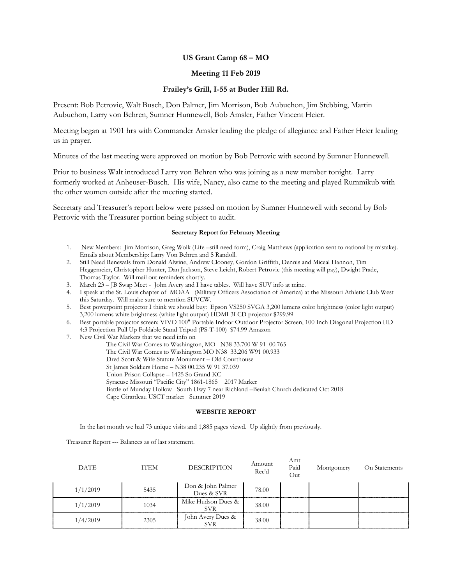## **US Grant Camp 68 – MO**

### **Meeting 11 Feb 2019**

### **Frailey's Grill, I-55 at Butler Hill Rd.**

Present: Bob Petrovic, Walt Busch, Don Palmer, Jim Morrison, Bob Aubuchon, Jim Stebbing, Martin Aubuchon, Larry von Behren, Sumner Hunnewell, Bob Amsler, Father Vincent Heier.

Meeting began at 1901 hrs with Commander Amsler leading the pledge of allegiance and Father Heier leading us in prayer.

Minutes of the last meeting were approved on motion by Bob Petrovic with second by Sumner Hunnewell.

Prior to business Walt introduced Larry von Behren who was joining as a new member tonight. Larry formerly worked at Anheuser-Busch. His wife, Nancy, also came to the meeting and played Rummikub with the other women outside after the meeting started.

Secretary and Treasurer's report below were passed on motion by Sumner Hunnewell with second by Bob Petrovic with the Treasurer portion being subject to audit.

#### **Secretary Report for February Meeting**

- 1. New Members: Jim Morrison, Greg Wolk (Life –still need form), Craig Matthews (application sent to national by mistake). Emails about Membership: Larry Von Behren and S Randoll.
- 2. Still Need Renewals from Donald Alwine, Andrew Clooney, Gordon Griffith, Dennis and Miceal Hannon, Tim Heggemeier, Christopher Hunter, Dan Jackson, Steve Leicht, Robert Petrovic (this meeting will pay), Dwight Prade, Thomas Taylor. Will mail out reminders shortly.
- 3. March 23 JB Swap Meet John Avery and I have tables. Will have SUV info at mine.
- 4. I speak at the St. Louis chapter of MOAA (Military Officers Association of America) at the Missouri Athletic Club West this Saturday. Will make sure to mention SUVCW.
- 5. Best powerpoint projector I think we should buy: Epson VS250 SVGA 3,200 lumens color brightness (color light output) 3,200 lumens white brightness (white light output) HDMI 3LCD projector \$299.99
- 6. Best portable projector screen: VIVO 100" Portable Indoor Outdoor Projector Screen, 100 Inch Diagonal Projection HD 4:3 Projection Pull Up Foldable Stand Tripod (PS-T-100) \$74.99 Amazon
- 7. New Civil War Markers that we need info on
	- The Civil War Comes to Washington, MO N38 33.700 W 91 00.765
	- The Civil War Comes to Washington MO N38 33.206 W91 00.933
	- Dred Scott & Wife Statute Monument Old Courthouse
	- St James Soldiers Home N38 00.235 W 91 37.039
	- Union Prison Collapse 1425 So Grand KC
	- Syracuse Missouri "Pacific City" 1861-1865 2017 Marker
	- Battle of Munday Hollow South Hwy 7 near Richland –Beulah Church dedicated Oct 2018
	- Cape Girardeau USCT marker Summer 2019

#### **WEBSITE REPORT**

In the last month we had 73 unique visits and 1,885 pages viewd. Up slightly from previously.

Treasurer Report --- Balances as of last statement.

| <b>DATE</b> | ITEM | <b>DESCRIPTION</b>              | Amount<br>Rec'd | Amt<br>Paid<br>Out | Montgomery | On Statements |
|-------------|------|---------------------------------|-----------------|--------------------|------------|---------------|
| 1/1/2019    | 5435 | Don & John Palmer<br>Dues & SVR | 78.00           |                    |            |               |
| 1/1/2019    | 1034 | Mike Hudson Dues &<br>SVR.      | 38.00           |                    |            |               |
| 1/4/2019    | 2305 | John Avery Dues &<br><b>SVR</b> | 38.00           |                    |            |               |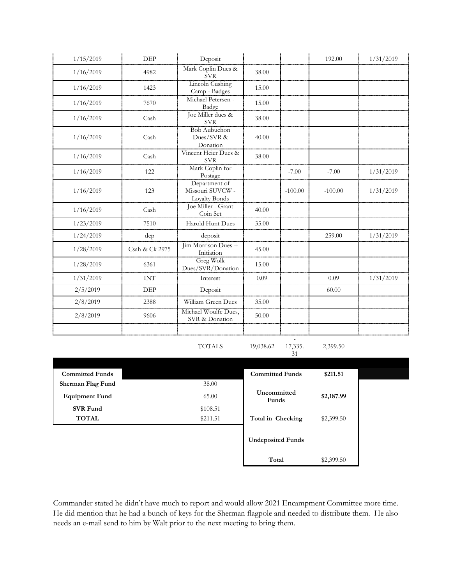| 1/15/2019              | DEP            | Deposit                                                   |                          |               | 192.00     | 1/31/2019 |
|------------------------|----------------|-----------------------------------------------------------|--------------------------|---------------|------------|-----------|
| 1/16/2019              | 4982           | Mark Coplin Dues &<br><b>SVR</b>                          | 38.00                    |               |            |           |
| 1/16/2019              | 1423           | Lincoln Cushing<br>Camp - Badges                          | 15.00                    |               |            |           |
| 1/16/2019              | 7670           | Michael Petersen -<br>Badge                               | 15.00                    |               |            |           |
| 1/16/2019              | Cash           | Joe Miller dues &<br><b>SVR</b>                           | 38.00                    |               |            |           |
| 1/16/2019              | Cash           | <b>Bob Aubuchon</b><br>Dues/SVR &<br>Donation             | 40.00                    |               |            |           |
| 1/16/2019              | Cash           | Vincent Heier Dues &<br><b>SVR</b>                        | 38.00                    |               |            |           |
| 1/16/2019              | 122            | Mark Coplin for<br>Postage                                |                          | $-7.00$       | $-7.00$    | 1/31/2019 |
| 1/16/2019              | 123            | Department of<br>Missouri SUVCW -<br><b>Loyalty Bonds</b> |                          | $-100.00$     | $-100.00$  | 1/31/2019 |
| 1/16/2019              | Cash           | Joe Miller - Grant<br>Coin Set                            | 40.00                    |               |            |           |
| 1/23/2019              | 7510           | Harold Hunt Dues                                          | 35.00                    |               |            |           |
| 1/24/2019              | dep            | deposit                                                   |                          |               | 259.00     | 1/31/2019 |
| 1/28/2019              | Csah & Ck 2975 | Jim Morrison Dues +<br>Initiation                         | 45.00                    |               |            |           |
| 1/28/2019              | 6361           | Greg Wolk<br>Dues/SVR/Donation                            | 15.00                    |               |            |           |
| 1/31/2019              | <b>INT</b>     | Interest                                                  | 0.09                     |               | 0.09       | 1/31/2019 |
| 2/5/2019               | DEP            | Deposit                                                   |                          |               | 60.00      |           |
| 2/8/2019               | 2388           | William Green Dues                                        | 35.00                    |               |            |           |
| 2/8/2019               | 9606           | Michael Woulfe Dues,<br>SVR & Donation                    | 50.00                    |               |            |           |
|                        |                |                                                           |                          |               |            |           |
|                        |                | <b>TOTALS</b>                                             | 19,038.62                | 17,335.<br>31 | 2,399.50   |           |
| <b>Committed Funds</b> |                |                                                           | <b>Committed Funds</b>   |               | \$211.51   |           |
| Sherman Flag Fund      |                | 38.00                                                     |                          |               |            |           |
| <b>Equipment Fund</b>  |                | 65.00                                                     | Uncommitted<br>Funds     |               | \$2,187.99 |           |
| <b>SVR Fund</b>        |                | \$108.51                                                  |                          |               |            |           |
| <b>TOTAL</b>           |                | \$211.51                                                  | Total in Checking        |               | \$2,399.50 |           |
|                        |                |                                                           | <b>Undeposited Funds</b> |               |            |           |

Commander stated he didn't have much to report and would allow 2021 Encampment Committee more time. He did mention that he had a bunch of keys for the Sherman flagpole and needed to distribute them. He also needs an e-mail send to him by Walt prior to the next meeting to bring them.

**Total** \$2,399.50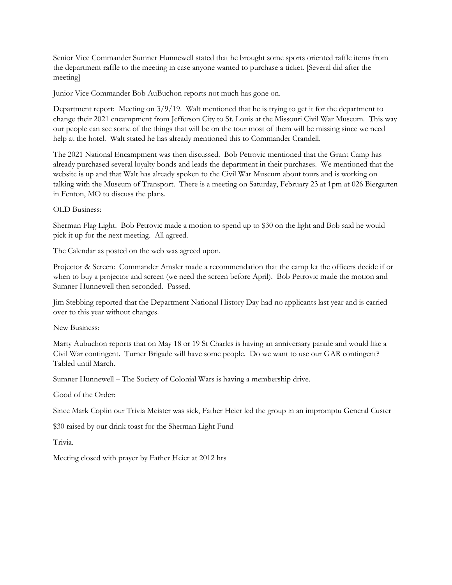Senior Vice Commander Sumner Hunnewell stated that he brought some sports oriented raffle items from the department raffle to the meeting in case anyone wanted to purchase a ticket. [Several did after the meeting]

Junior Vice Commander Bob AuBuchon reports not much has gone on.

Department report: Meeting on 3/9/19. Walt mentioned that he is trying to get it for the department to change their 2021 encampment from Jefferson City to St. Louis at the Missouri Civil War Museum. This way our people can see some of the things that will be on the tour most of them will be missing since we need help at the hotel. Walt stated he has already mentioned this to Commander Crandell.

The 2021 National Encampment was then discussed. Bob Petrovic mentioned that the Grant Camp has already purchased several loyalty bonds and leads the department in their purchases. We mentioned that the website is up and that Walt has already spoken to the Civil War Museum about tours and is working on talking with the Museum of Transport. There is a meeting on Saturday, February 23 at 1pm at 026 Biergarten in Fenton, MO to discuss the plans.

OLD Business:

Sherman Flag Light. Bob Petrovic made a motion to spend up to \$30 on the light and Bob said he would pick it up for the next meeting. All agreed.

The Calendar as posted on the web was agreed upon.

Projector & Screen: Commander Amsler made a recommendation that the camp let the officers decide if or when to buy a projector and screen (we need the screen before April). Bob Petrovic made the motion and Sumner Hunnewell then seconded. Passed.

Jim Stebbing reported that the Department National History Day had no applicants last year and is carried over to this year without changes.

New Business:

Marty Aubuchon reports that on May 18 or 19 St Charles is having an anniversary parade and would like a Civil War contingent. Turner Brigade will have some people. Do we want to use our GAR contingent? Tabled until March.

Sumner Hunnewell – The Society of Colonial Wars is having a membership drive.

Good of the Order:

Since Mark Coplin our Trivia Meister was sick, Father Heier led the group in an impromptu General Custer

\$30 raised by our drink toast for the Sherman Light Fund

Trivia.

Meeting closed with prayer by Father Heier at 2012 hrs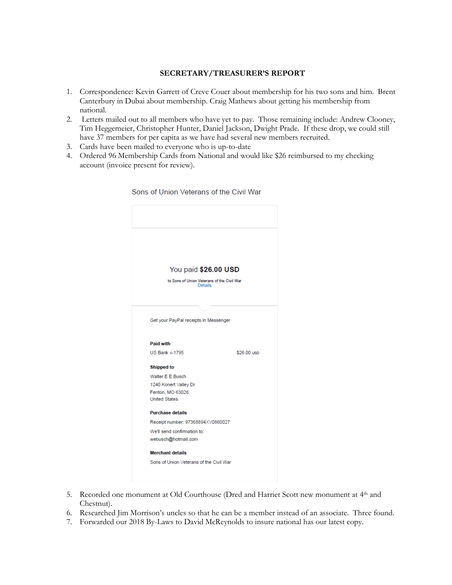## **SECRETARY/TREASURER'S REPORT**

- 1. Correspondence: Kevin Garrett of Creve Couer about membership for his two sons and him. Brent Canterbury in Dubai about membership. Craig Mathews about getting his membership from national.
- 2. Letters mailed out to all members who have yet to pay. Those remaining include: Andrew Clooney, Tim Heggemeier, Christopher Hunter, Daniel Jackson, Dwight Prade. If these drop, we could still have 37 members for per capita as we have had several new members recruited.
- 3. Cards have been mailed to everyone who is up-to-date
- 4. Ordered 96 Membership Cards from National and would like \$26 reimbursed to my checking account (invoice present for review).



Sons of Union Veterans of the Civil War

- 5. Recorded one monument at Old Courthouse (Dred and Harriet Scott new monument at 4th and Chestnut).
- 6. Researched Jim Morrison's uncles so that he can be a member instead of an associate. Three found.
- 7. Forwarded our 2018 By-Laws to David McReynolds to insure national has our latest copy.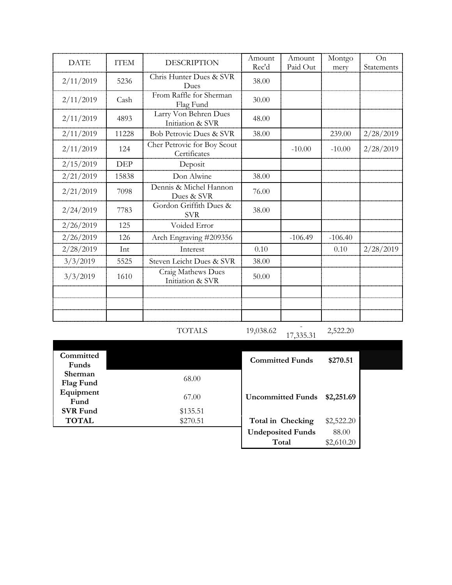| <b>DATE</b> | <b>ITEM</b> | <b>DESCRIPTION</b>                          | Amount | Amount    | Montgo    | On         |
|-------------|-------------|---------------------------------------------|--------|-----------|-----------|------------|
|             |             |                                             | Rec'd  | Paid Out  | mery      | Statements |
| 2/11/2019   | 5236        | Chris Hunter Dues & SVR<br>Dues             | 38.00  |           |           |            |
| 2/11/2019   | Cash        | From Raffle for Sherman<br>Flag Fund        | 30.00  |           |           |            |
| 2/11/2019   | 4893        | Larry Von Behren Dues<br>Initiation & SVR   | 48.00  |           |           |            |
| 2/11/2019   | 11228       | <b>Bob Petrovic Dues &amp; SVR</b>          | 38.00  |           | 239.00    | 2/28/2019  |
| 2/11/2019   | 124         | Cher Petrovic for Boy Scout<br>Certificates |        | $-10.00$  | $-10.00$  | 2/28/2019  |
| 2/15/2019   | <b>DEP</b>  | Deposit                                     |        |           |           |            |
| 2/21/2019   | 15838       | Don Alwine                                  | 38.00  |           |           |            |
| 2/21/2019   | 7098        | Dennis & Michel Hannon<br>Dues & SVR        | 76.00  |           |           |            |
| 2/24/2019   | 7783        | Gordon Griffith Dues &<br><b>SVR</b>        | 38.00  |           |           |            |
| 2/26/2019   | 125         | Voided Error                                |        |           |           |            |
| 2/26/2019   | 126         | Arch Engraving #209356                      |        | $-106.49$ | $-106.40$ |            |
| 2/28/2019   | Int         | Interest                                    | 0.10   |           | 0.10      | 2/28/2019  |
| 3/3/2019    | 5525        | Steven Leicht Dues & SVR                    | 38.00  |           |           |            |
| 3/3/2019    | 1610        | Craig Mathews Dues<br>Initiation & SVR      | 50.00  |           |           |            |
|             |             |                                             |        |           |           |            |

|  | ٦<br>ı<br>T.<br>, |  |
|--|-------------------|--|
|  |                   |  |

19,038.62

 $17,335.31$  2,522.20

| Committed       |          | <b>Committed Funds</b>   | \$270.51   |  |
|-----------------|----------|--------------------------|------------|--|
| Funds           |          |                          |            |  |
| Sherman         | 68.00    |                          |            |  |
| Flag Fund       |          |                          |            |  |
| Equipment       |          |                          |            |  |
| Fund            | 67.00    | <b>Uncommitted Funds</b> | \$2,251.69 |  |
| <b>SVR Fund</b> | \$135.51 |                          |            |  |
| <b>TOTAL</b>    | \$270.51 | Total in Checking        | \$2,522.20 |  |
|                 |          | <b>Undeposited Funds</b> | 88.00      |  |
|                 |          | Total                    | \$2,610.20 |  |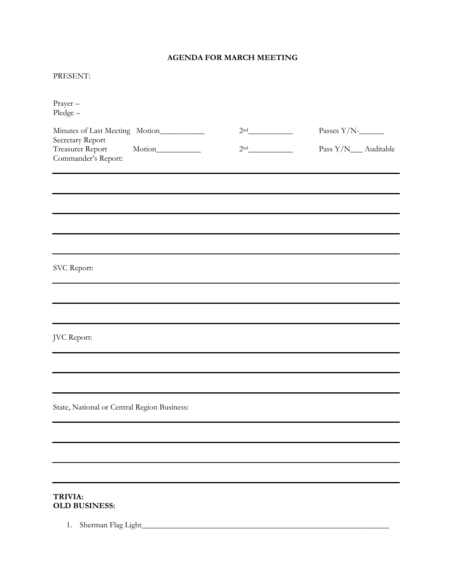## **AGENDA FOR MARCH MEETING**

## PRESENT:

| Prayer-<br>$Pledge -$                                       |                 |                      |
|-------------------------------------------------------------|-----------------|----------------------|
| Minutes of Last Meeting Motion__________                    | 2 <sup>nd</sup> | Passes $Y/N$ -       |
| Secretary Report<br>Treasurer Report<br>Commander's Report: | 2 <sup>nd</sup> | Pass Y/N__ Auditable |
|                                                             |                 |                      |
|                                                             |                 |                      |
|                                                             |                 |                      |
|                                                             |                 |                      |
| SVC Report:                                                 |                 |                      |
|                                                             |                 |                      |
|                                                             |                 |                      |
| JVC Report:                                                 |                 |                      |
|                                                             |                 |                      |
|                                                             |                 |                      |
| State, National or Central Region Business:                 |                 |                      |
|                                                             |                 |                      |
|                                                             |                 |                      |
|                                                             |                 |                      |
|                                                             |                 |                      |

## **TRIVIA: OLD BUSINESS:**

1. Sherman Flag Light\_\_\_\_\_\_\_\_\_\_\_\_\_\_\_\_\_\_\_\_\_\_\_\_\_\_\_\_\_\_\_\_\_\_\_\_\_\_\_\_\_\_\_\_\_\_\_\_\_\_\_\_\_\_\_\_\_\_\_\_\_